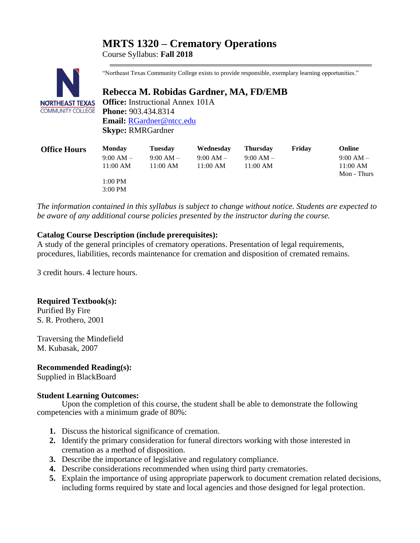# **MRTS 1320 – Crematory Operations**

Course Syllabus: **Fall 2018**



"Northeast Texas Community College exists to provide responsible, exemplary learning opportunities."

# **Rebecca M. Robidas Gardner, MA, FD/EMB**

**Office:** Instructional Annex 101A **Phone:** 903.434.8314 **Email:** [RGardner@ntcc.edu](mailto:RGardner@ntcc.edu) **Skyp**e**:** RMRGardner

| <b>Office Hours</b> | <b>Monday</b> | Tuesday     | Wednesday   | <b>Thursday</b> | Fridav | Online      |
|---------------------|---------------|-------------|-------------|-----------------|--------|-------------|
|                     | $9:00 AM -$   | $9:00 AM -$ | $9:00 AM -$ | $9:00 AM -$     |        | $9:00 AM -$ |
|                     | 11:00 AM      | 11:00 AM    | 11:00 AM    | 11:00 AM        |        | $11:00$ AM  |
|                     |               |             |             |                 |        | Mon - Thurs |
|                     | 1:00 PM       |             |             |                 |        |             |
|                     | $3:00$ PM     |             |             |                 |        |             |

*The information contained in this syllabus is subject to change without notice. Students are expected to be aware of any additional course policies presented by the instructor during the course.*

## **Catalog Course Description (include prerequisites):**

A study of the general principles of crematory operations. Presentation of legal requirements, procedures, liabilities, records maintenance for cremation and disposition of cremated remains.

3 credit hours. 4 lecture hours.

### **Required Textbook(s):**

Purified By Fire S. R. Prothero, 2001

Traversing the Mindefield M. Kubasak, 2007

### **Recommended Reading(s):**

Supplied in BlackBoard

### **Student Learning Outcomes:**

Upon the completion of this course, the student shall be able to demonstrate the following competencies with a minimum grade of 80%:

- **1.** Discuss the historical significance of cremation.
- **2.** Identify the primary consideration for funeral directors working with those interested in cremation as a method of disposition.
- **3.** Describe the importance of legislative and regulatory compliance.
- **4.** Describe considerations recommended when using third party crematories.
- **5.** Explain the importance of using appropriate paperwork to document cremation related decisions, including forms required by state and local agencies and those designed for legal protection.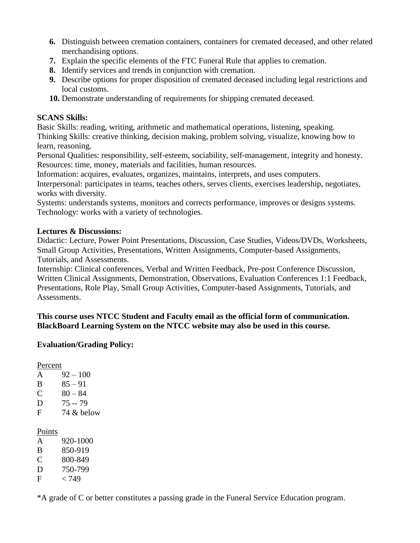- **6.** Distinguish between cremation containers, containers for cremated deceased, and other related merchandising options.
- **7.** Explain the specific elements of the FTC Funeral Rule that applies to cremation.
- **8.** Identify services and trends in conjunction with cremation.
- **9.** Describe options for proper disposition of cremated deceased including legal restrictions and local customs.
- **10.** Demonstrate understanding of requirements for shipping cremated deceased.

## **SCANS Skills:**

Basic Skills: reading, writing, arithmetic and mathematical operations, listening, speaking. Thinking Skills: creative thinking, decision making, problem solving, visualize, knowing how to learn, reasoning.

Personal Qualities: responsibility, self-esteem, sociability, self-management, integrity and honesty. Resources: time, money, materials and facilities, human resources.

Information: acquires, evaluates, organizes, maintains, interprets, and uses computers.

Interpersonal: participates in teams, teaches others, serves clients, exercises leadership, negotiates, works with diversity.

Systems: understands systems, monitors and corrects performance, improves or designs systems. Technology: works with a variety of technologies.

## **Lectures & Discussions:**

Didactic: Lecture, Power Point Presentations, Discussion, Case Studies, Videos/DVDs, Worksheets, Small Group Activities, Presentations, Written Assignments, Computer-based Assignments, Tutorials, and Assessments.

Internship: Clinical conferences, Verbal and Written Feedback, Pre-post Conference Discussion, Written Clinical Assignments, Demonstration, Observations, Evaluation Conferences 1:1 Feedback, Presentations, Role Play, Small Group Activities, Computer-based Assignments, Tutorials, and Assessments.

**This course uses NTCC Student and Faculty email as the official form of communication. BlackBoard Learning System on the NTCC website may also be used in this course.**

# **Evaluation/Grading Policy:**

Percent

| A | $92 - 100$ |
|---|------------|
| B | $85 - 91$  |
| C | $80 - 84$  |
| D | 75 -- 79   |
| F | 74 & below |
|   |            |

Points

| A | 920-1000        |
|---|-----------------|
| B | 850-919         |
| C | 800-849         |
| D | 750-799         |
| F | <i>&lt;</i> 749 |

\*A grade of C or better constitutes a passing grade in the Funeral Service Education program.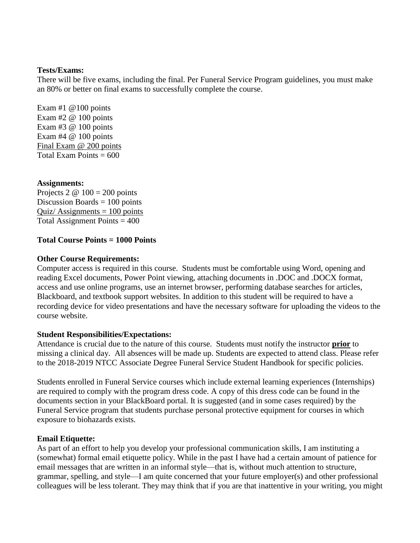#### **Tests/Exams:**

There will be five exams, including the final. Per Funeral Service Program guidelines, you must make an 80% or better on final exams to successfully complete the course.

Exam #1  $@100$  points Exam  $#2 \& 100$  points Exam #3 @ 100 points Exam  $#4 \ @$  100 points Final Exam @ 200 points Total Exam Points  $= 600$ 

### **Assignments:**

Projects 2  $\omega$  100 = 200 points Discussion Boards  $= 100$  points Quiz/ $\text{Assignments} = 100 \text{ points}$ Total Assignment Points  $= 400$ 

### **Total Course Points = 1000 Points**

#### **Other Course Requirements:**

Computer access is required in this course. Students must be comfortable using Word, opening and reading Excel documents, Power Point viewing, attaching documents in .DOC and .DOCX format, access and use online programs, use an internet browser, performing database searches for articles, Blackboard, and textbook support websites. In addition to this student will be required to have a recording device for video presentations and have the necessary software for uploading the videos to the course website.

#### **Student Responsibilities/Expectations:**

Attendance is crucial due to the nature of this course. Students must notify the instructor **prior** to missing a clinical day. All absences will be made up. Students are expected to attend class. Please refer to the 2018-2019 NTCC Associate Degree Funeral Service Student Handbook for specific policies.

Students enrolled in Funeral Service courses which include external learning experiences (Internships) are required to comply with the program dress code. A copy of this dress code can be found in the documents section in your BlackBoard portal. It is suggested (and in some cases required) by the Funeral Service program that students purchase personal protective equipment for courses in which exposure to biohazards exists.

#### **Email Etiquette:**

As part of an effort to help you develop your professional communication skills, I am instituting a (somewhat) formal email etiquette policy. While in the past I have had a certain amount of patience for email messages that are written in an informal style—that is, without much attention to structure, grammar, spelling, and style—I am quite concerned that your future employer(s) and other professional colleagues will be less tolerant. They may think that if you are that inattentive in your writing, you might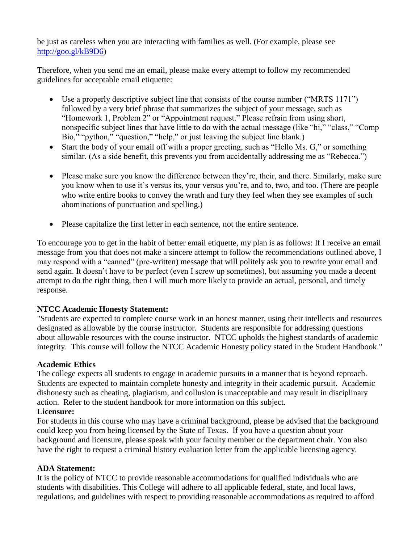be just as careless when you are interacting with families as well. (For example, please see [http://goo.gl/kB9D6\)](http://goo.gl/kB9D6)

Therefore, when you send me an email, please make every attempt to follow my recommended guidelines for acceptable email etiquette:

- Use a properly descriptive subject line that consists of the course number ("MRTS 1171") followed by a very brief phrase that summarizes the subject of your message, such as "Homework 1, Problem 2" or "Appointment request." Please refrain from using short, nonspecific subject lines that have little to do with the actual message (like "hi," "class," "Comp Bio," "python," "question," "help," or just leaving the subject line blank.)
- Start the body of your email off with a proper greeting, such as "Hello Ms. G," or something similar. (As a side benefit, this prevents you from accidentally addressing me as "Rebecca.")
- Please make sure you know the difference between they're, their, and there. Similarly, make sure you know when to use it's versus its, your versus you're, and to, two, and too. (There are people who write entire books to convey the wrath and fury they feel when they see examples of such abominations of punctuation and spelling.)
- Please capitalize the first letter in each sentence, not the entire sentence.

To encourage you to get in the habit of better email etiquette, my plan is as follows: If I receive an email message from you that does not make a sincere attempt to follow the recommendations outlined above, I may respond with a "canned" (pre-written) message that will politely ask you to rewrite your email and send again. It doesn't have to be perfect (even I screw up sometimes), but assuming you made a decent attempt to do the right thing, then I will much more likely to provide an actual, personal, and timely response.

## **NTCC Academic Honesty Statement:**

"Students are expected to complete course work in an honest manner, using their intellects and resources designated as allowable by the course instructor. Students are responsible for addressing questions about allowable resources with the course instructor. NTCC upholds the highest standards of academic integrity. This course will follow the NTCC Academic Honesty policy stated in the Student Handbook."

## **Academic Ethics**

The college expects all students to engage in academic pursuits in a manner that is beyond reproach. Students are expected to maintain complete honesty and integrity in their academic pursuit. Academic dishonesty such as cheating, plagiarism, and collusion is unacceptable and may result in disciplinary action. Refer to the student handbook for more information on this subject.

## **Licensure:**

For students in this course who may have a criminal background, please be advised that the background could keep you from being licensed by the State of Texas. If you have a question about your background and licensure, please speak with your faculty member or the department chair. You also have the right to request a criminal history evaluation letter from the applicable licensing agency.

## **ADA Statement:**

It is the policy of NTCC to provide reasonable accommodations for qualified individuals who are students with disabilities. This College will adhere to all applicable federal, state, and local laws, regulations, and guidelines with respect to providing reasonable accommodations as required to afford